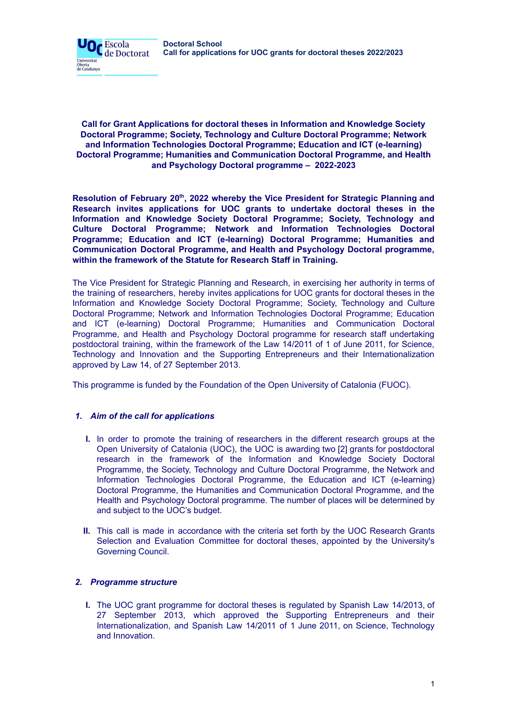

**Call for Grant Applications for doctoral theses in Information and Knowledge Society Doctoral Programme; Society, Technology and Culture Doctoral Programme; Network and Information Technologies Doctoral Programme; Education and ICT (e-learning) Doctoral Programme; Humanities and Communication Doctoral Programme, and Health and Psychology Doctoral programme – 2022-2023**

**Resolution of February 20 th , 2022 whereby the Vice President for Strategic Planning and Research invites applications for UOC grants to undertake doctoral theses in the Information and Knowledge Society Doctoral Programme; Society, Technology and Culture Doctoral Programme; Network and Information Technologies Doctoral Programme; Education and ICT (e-learning) Doctoral Programme; Humanities and Communication Doctoral Programme, and Health and Psychology Doctoral programme, within the framework of the Statute for Research Staff in Training.**

The Vice President for Strategic Planning and Research, in exercising her authority in terms of the training of researchers, hereby invites applications for UOC grants for doctoral theses in the Information and Knowledge Society Doctoral Programme; Society, Technology and Culture Doctoral Programme; Network and Information Technologies Doctoral Programme; Education and ICT (e-learning) Doctoral Programme; Humanities and Communication Doctoral Programme, and Health and Psychology Doctoral programme for research staff undertaking postdoctoral training, within the framework of the Law 14/2011 of 1 of June 2011, for Science, Technology and Innovation and the Supporting Entrepreneurs and their Internationalization approved by Law 14, of 27 September 2013.

This programme is funded by the Foundation of the Open University of Catalonia (FUOC).

## *1. Aim of the call for applications*

- **I.** In order to promote the training of researchers in the different research groups at the Open University of Catalonia (UOC), the UOC is awarding two [2] grants for postdoctoral research in the framework of the Information and Knowledge Society Doctoral Programme, the Society, Technology and Culture Doctoral Programme, the Network and Information Technologies Doctoral Programme, the Education and ICT (e-learning) Doctoral Programme, the Humanities and Communication Doctoral Programme, and the Health and Psychology Doctoral programme. The number of places will be determined by and subject to the UOC's budget.
- **II.** This call is made in accordance with the criteria set forth by the UOC Research Grants Selection and Evaluation Committee for doctoral theses, appointed by the University's Governing Council.

## *2. Programme structure*

**I.** The UOC grant programme for doctoral theses is regulated by Spanish Law 14/2013, of 27 September 2013, which approved the Supporting Entrepreneurs and their Internationalization, and Spanish Law 14/2011 of 1 June 2011, on Science, Technology and Innovation.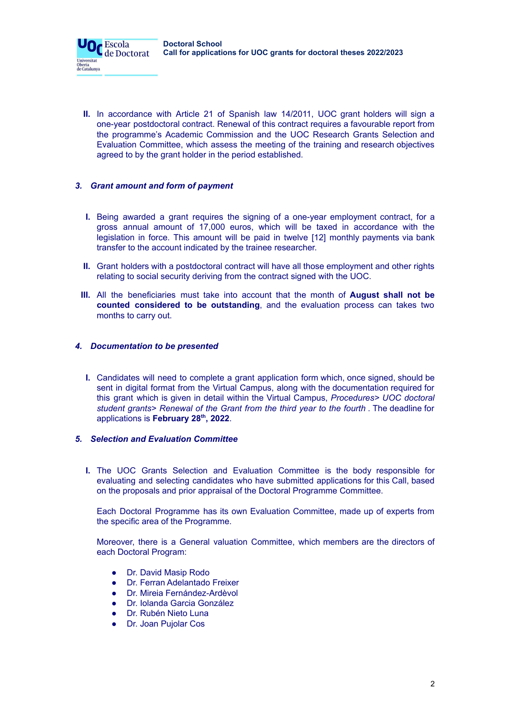

**II.** In accordance with Article 21 of Spanish law 14/2011, UOC grant holders will sign a one-year postdoctoral contract. Renewal of this contract requires a favourable report from the programme's Academic Commission and the UOC Research Grants Selection and Evaluation Committee, which assess the meeting of the training and research objectives agreed to by the grant holder in the period established.

## *3. Grant amount and form of payment*

**Or** Escola

Universitat Oberta<br>de Catalunva

- **I.** Being awarded a grant requires the signing of a one-year employment contract, for a gross annual amount of 17,000 euros, which will be taxed in accordance with the legislation in force. This amount will be paid in twelve [12] monthly payments via bank transfer to the account indicated by the trainee researcher.
- **II.** Grant holders with a postdoctoral contract will have all those employment and other rights relating to social security deriving from the contract signed with the UOC.
- **III.** All the beneficiaries must take into account that the month of **August shall not be counted considered to be outstanding**, and the evaluation process can takes two months to carry out.

#### *4. Documentation to be presented*

**I.** Candidates will need to complete a grant application form which, once signed, should be sent in digital format from the Virtual Campus, along with the documentation required for this grant which is given in detail within the Virtual Campus, *Procedures> UOC doctoral student grants> Renewal of the Grant from the third year to the fourth* . The deadline for applications is **February 28 th , 2022**.

### *5. Selection and Evaluation Committee*

**I.** The UOC Grants Selection and Evaluation Committee is the body responsible for evaluating and selecting candidates who have submitted applications for this Call, based on the proposals and prior appraisal of the Doctoral Programme Committee.

Each Doctoral Programme has its own Evaluation Committee, made up of experts from the specific area of the Programme.

Moreover, there is a General valuation Committee, which members are the directors of each Doctoral Program:

- Dr. David Masip Rodo
- Dr. Ferran Adelantado Freixer
- Dr. Mireia Fernández-Ardèvol
- Dr. Iolanda Garcia González
- Dr. Rubén Nieto Luna
- Dr. Joan Pujolar Cos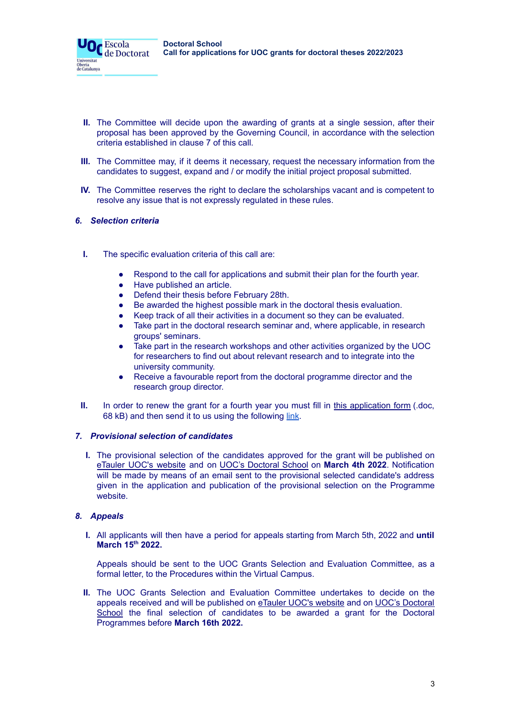**Doctoral School Call for applications for UOC grants for doctoral theses 2022/2023**

- **II.** The Committee will decide upon the awarding of grants at a single session, after their proposal has been approved by the Governing Council, in accordance with the selection criteria established in clause 7 of this call.
- **III.** The Committee may, if it deems it necessary, request the necessary information from the candidates to suggest, expand and / or modify the initial project proposal submitted.
- **IV.** The Committee reserves the right to declare the scholarships vacant and is competent to resolve any issue that is not expressly regulated in these rules.

#### *6. Selection criteria*

**Or** Escola

Universitat Oberta<br>de Catalunva de Doctorat

- **I.** The specific evaluation criteria of this call are:
	- Respond to the call for applications and submit their plan for the fourth year.
	- Have published an article.
	- Defend their thesis before February 28th.
	- Be awarded the highest possible mark in the doctoral thesis evaluation.
	- Keep track of all their activities in a document so they can be evaluated.
	- Take part in the doctoral research seminar and, where applicable, in research groups' seminars.
	- Take part in the research workshops and other activities organized by the UOC for researchers to find out about relevant research and to integrate into the university community.
	- Receive a favourable report from the doctoral programme director and the research group director.
- **II.** In order to renew the grant for a fourth year you must fill in this [application](https://campus.uoc.edu/estudiant/_resources/docs/tramits/beques/doctorat/Template_fourth_year.doc) form (.doc, 68 kB) and then send it to us using the following [link](https://campus.uoc.edu/cau/entrada/entradaPeticion.do?modul=SAC.ENTRADA_PETICION&subaccio=iniciarEncuesta&txtOpcion=9179&punto_entrada=SEC&entidad_gestora=SAC&s=daf19ae78837acaef9116ef8b204c9f4f80535850a06b436f0ef7bab4d010eabf18f9c99fbdbd0ef744d04d773d8fd288ab573825be93f5fbead3a040c8d7ce4).

#### *7. Provisional selection of candidates*

**I.** The provisional selection of the candidates approved for the grant will be published on eTauler UOC's [website](https://seu-electronica.uoc.edu/portal/ca/seu-electronica/tramits-serveis/tauler-anuncis/index.html) and on UOC's [Doctoral](https://www.uoc.edu/portal/ca/escola-doctorat/index.html) School on **March 4th 2022**. Notification will be made by means of an email sent to the provisional selected candidate's address given in the application and publication of the provisional selection on the Programme website.

## *8. Appeals*

**I.** All applicants will then have a period for appeals starting from March 5th, 2022 and **until March 15 th 2022.**

Appeals should be sent to the UOC Grants Selection and Evaluation Committee, as a formal letter, to the Procedures within the Virtual Campus.

**II.** The UOC Grants Selection and Evaluation Committee undertakes to decide on the appeals received and will be published on eTauler UOC's [website](https://seu-electronica.uoc.edu/portal/ca/seu-electronica/tramits-serveis/tauler-anuncis/index.html) and on UOC's [Doctoral](https://www.uoc.edu/portal/ca/escola-doctorat/index.html) [School](https://www.uoc.edu/portal/ca/escola-doctorat/index.html) the final selection of candidates to be awarded a grant for the Doctoral Programmes before **March 16th 2022.**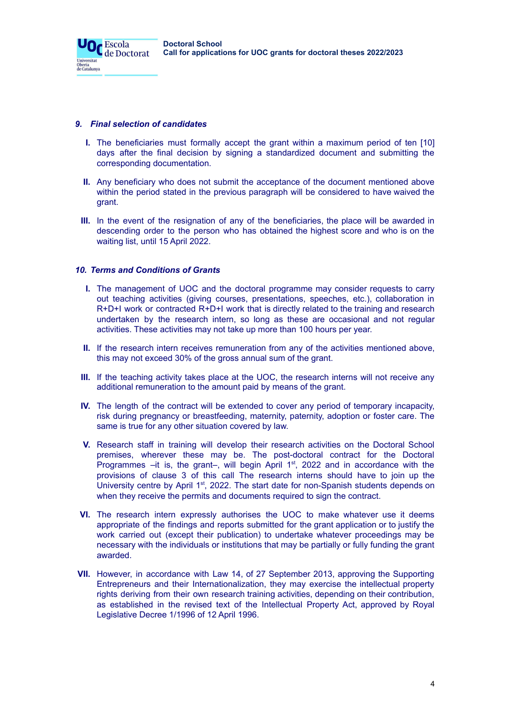

Oc Escola<br>de Doctorat

Universitat Oberta<br>de Catalunva

- **I.** The beneficiaries must formally accept the grant within a maximum period of ten [10] days after the final decision by signing a standardized document and submitting the corresponding documentation.
- **II.** Any beneficiary who does not submit the acceptance of the document mentioned above within the period stated in the previous paragraph will be considered to have waived the grant.
- **III.** In the event of the resignation of any of the beneficiaries, the place will be awarded in descending order to the person who has obtained the highest score and who is on the waiting list, until 15 April 2022.

#### *10. Terms and Conditions of Grants*

- **I.** The management of UOC and the doctoral programme may consider requests to carry out teaching activities (giving courses, presentations, speeches, etc.), collaboration in R+D+I work or contracted R+D+I work that is directly related to the training and research undertaken by the research intern, so long as these are occasional and not regular activities. These activities may not take up more than 100 hours per year.
- **II.** If the research intern receives remuneration from any of the activities mentioned above, this may not exceed 30% of the gross annual sum of the grant.
- **III.** If the teaching activity takes place at the UOC, the research interns will not receive any additional remuneration to the amount paid by means of the grant.
- **IV.** The length of the contract will be extended to cover any period of temporary incapacity, risk during pregnancy or breastfeeding, maternity, paternity, adoption or foster care. The same is true for any other situation covered by law.
- **V.** Research staff in training will develop their research activities on the Doctoral School premises, wherever these may be. The post-doctoral contract for the Doctoral Programmes  $-it$  is, the grant-, will begin April  $1<sup>st</sup>$ , 2022 and in accordance with the provisions of clause 3 of this call The research interns should have to join up the University centre by April 1<sup>st</sup>, 2022. The start date for non-Spanish students depends on when they receive the permits and documents required to sign the contract.
- **VI.** The research intern expressly authorises the UOC to make whatever use it deems appropriate of the findings and reports submitted for the grant application or to justify the work carried out (except their publication) to undertake whatever proceedings may be necessary with the individuals or institutions that may be partially or fully funding the grant awarded.
- **VII.** However, in accordance with Law 14, of 27 September 2013, approving the Supporting Entrepreneurs and their Internationalization, they may exercise the intellectual property rights deriving from their own research training activities, depending on their contribution, as established in the revised text of the Intellectual Property Act, approved by Royal Legislative Decree 1/1996 of 12 April 1996.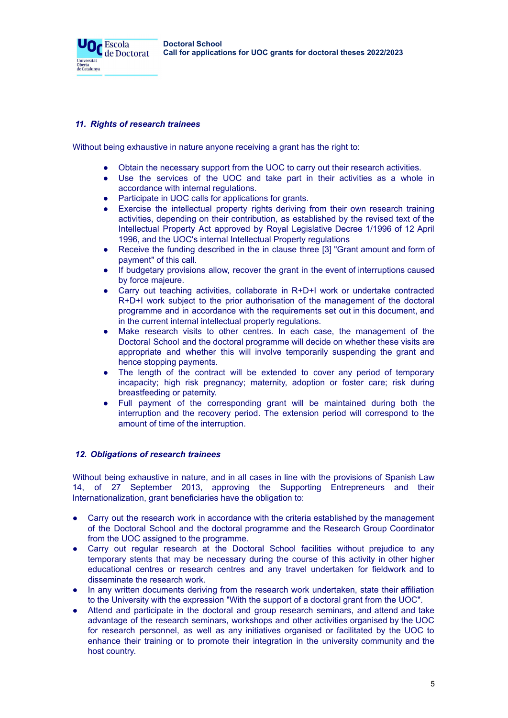**Doctoral School Call for applications for UOC grants for doctoral theses 2022/2023**



# *11. Rights of research trainees*

Without being exhaustive in nature anyone receiving a grant has the right to:

- Obtain the necessary support from the UOC to carry out their research activities.
- Use the services of the UOC and take part in their activities as a whole in accordance with internal regulations.
- Participate in UOC calls for applications for grants.
- Exercise the intellectual property rights deriving from their own research training activities, depending on their contribution, as established by the revised text of the Intellectual Property Act approved by Royal Legislative Decree 1/1996 of 12 April 1996, and the UOC's internal Intellectual Property regulations
- Receive the funding described in the in clause three [3] "Grant amount and form of payment" of this call.
- If budgetary provisions allow, recover the grant in the event of interruptions caused by force majeure.
- Carry out teaching activities, collaborate in R+D+I work or undertake contracted R+D+I work subject to the prior authorisation of the management of the doctoral programme and in accordance with the requirements set out in this document, and in the current internal intellectual property regulations.
- Make research visits to other centres. In each case, the management of the Doctoral School and the doctoral programme will decide on whether these visits are appropriate and whether this will involve temporarily suspending the grant and hence stopping payments.
- The length of the contract will be extended to cover any period of temporary incapacity; high risk pregnancy; maternity, adoption or foster care; risk during breastfeeding or paternity.
- Full payment of the corresponding grant will be maintained during both the interruption and the recovery period. The extension period will correspond to the amount of time of the interruption.

## *12. Obligations of research trainees*

Without being exhaustive in nature, and in all cases in line with the provisions of Spanish Law 14, of 27 September 2013, approving the Supporting Entrepreneurs and their Internationalization, grant beneficiaries have the obligation to:

- Carry out the research work in accordance with the criteria established by the management of the Doctoral School and the doctoral programme and the Research Group Coordinator from the UOC assigned to the programme.
- Carry out regular research at the Doctoral School facilities without prejudice to any temporary stents that may be necessary during the course of this activity in other higher educational centres or research centres and any travel undertaken for fieldwork and to disseminate the research work.
- In any written documents deriving from the research work undertaken, state their affiliation to the University with the expression "With the support of a doctoral grant from the UOC".
- Attend and participate in the doctoral and group research seminars, and attend and take advantage of the research seminars, workshops and other activities organised by the UOC for research personnel, as well as any initiatives organised or facilitated by the UOC to enhance their training or to promote their integration in the university community and the host country.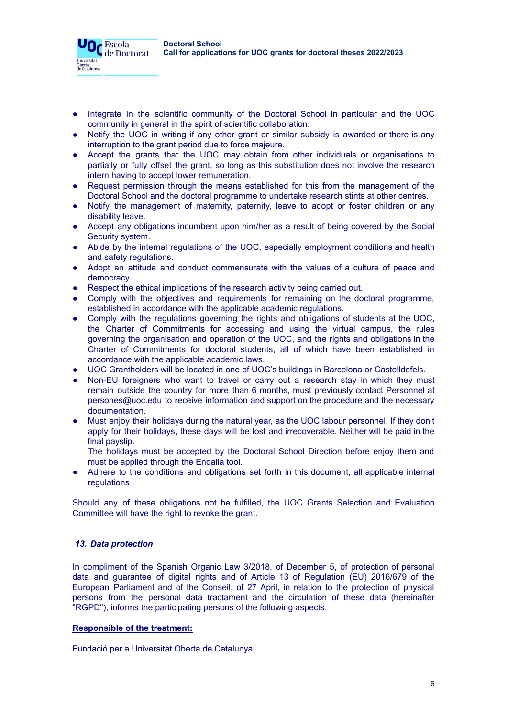

- Integrate in the scientific community of the Doctoral School in particular and the UOC community in general in the spirit of scientific collaboration.
- Notify the UOC in writing if any other grant or similar subsidy is awarded or there is any interruption to the grant period due to force majeure.
- Accept the grants that the UOC may obtain from other individuals or organisations to partially or fully offset the grant, so long as this substitution does not involve the research intern having to accept lower remuneration.
- Request permission through the means established for this from the management of the Doctoral School and the doctoral programme to undertake research stints at other centres.
- Notify the management of maternity, paternity, leave to adopt or foster children or any disability leave.
- Accept any obligations incumbent upon him/her as a result of being covered by the Social Security system.
- Abide by the internal regulations of the UOC, especially employment conditions and health and safety regulations.
- Adopt an attitude and conduct commensurate with the values of a culture of peace and democracy.
- Respect the ethical implications of the research activity being carried out.
- Comply with the objectives and requirements for remaining on the doctoral programme, established in accordance with the applicable academic regulations.
- Comply with the regulations governing the rights and obligations of students at the UOC, the Charter of Commitments for accessing and using the virtual campus, the rules governing the organisation and operation of the UOC, and the rights and obligations in the Charter of Commitments for doctoral students, all of which have been established in accordance with the applicable academic laws.
- UOC Grantholders will be located in one of UOC's buildings in Barcelona or Castelldefels.
- Non-EU foreigners who want to travel or carry out a research stay in which they must remain outside the country for more than 6 months, must previously contact Personnel at persones@uoc.edu to receive information and support on the procedure and the necessary documentation.
- Must enjoy their holidays during the natural year, as the UOC labour personnel. If they don't apply for their holidays, these days will be lost and irrecoverable. Neither will be paid in the final payslip.

The holidays must be accepted by the Doctoral School Direction before enjoy them and must be applied through the Endalia tool.

Adhere to the conditions and obligations set forth in this document, all applicable internal regulations

Should any of these obligations not be fulfilled, the UOC Grants Selection and Evaluation Committee will have the right to revoke the grant.

## *13. Data protection*

In compliment of the Spanish Organic Law 3/2018, of December 5, of protection of personal data and guarantee of digital rights and of Article 13 of Regulation (EU) 2016/679 of the European Parliament and of the Conseil, of 27 April, in relation to the protection of physical persons from the personal data tractament and the circulation of these data (hereinafter "RGPD"), informs the participating persons of the following aspects.

#### **Responsible of the treatment:**

Fundació per a Universitat Oberta de Catalunya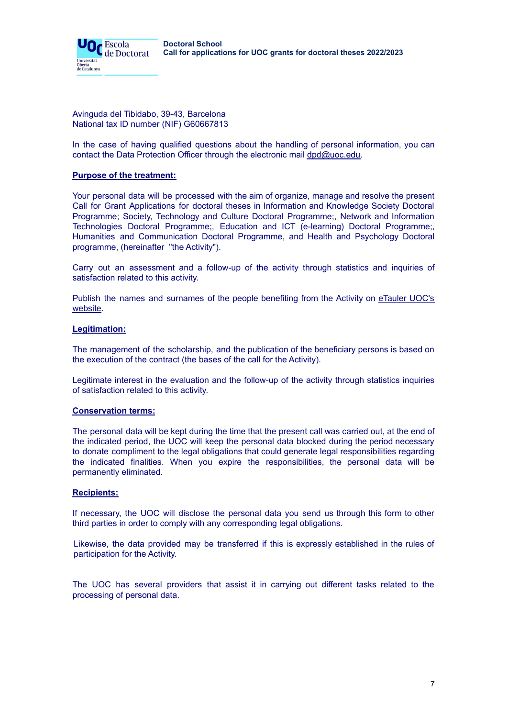

Avinguda del Tibidabo, 39-43, Barcelona National tax ID number (NIF) G60667813

In the case of having qualified questions about the handling of personal information, you can contact the Data Protection Officer through the electronic mail [dpd@uoc.edu.](mailto:dpd@uoc.edu)

#### **Purpose of the treatment:**

Your personal data will be processed with the aim of organize, manage and resolve the present Call for Grant Applications for doctoral theses in Information and Knowledge Society Doctoral Programme; Society, Technology and Culture Doctoral Programme;, Network and Information Technologies Doctoral Programme;, Education and ICT (e-learning) Doctoral Programme;, Humanities and Communication Doctoral Programme, and Health and Psychology Doctoral programme, (hereinafter "the Activity").

Carry out an assessment and a follow-up of the activity through statistics and inquiries of satisfaction related to this activity.

Publish the names and surnames of the people benefiting from the Activity on [eTauler](https://seu-electronica.uoc.edu/portal/ca/seu-electronica/tramits-serveis/tauler-anuncis/index.html) UOC's [website.](https://seu-electronica.uoc.edu/portal/ca/seu-electronica/tramits-serveis/tauler-anuncis/index.html)

#### **Legitimation:**

The management of the scholarship, and the publication of the beneficiary persons is based on the execution of the contract (the bases of the call for the Activity).

Legitimate interest in the evaluation and the follow-up of the activity through statistics inquiries of satisfaction related to this activity.

#### **Conservation terms:**

The personal data will be kept during the time that the present call was carried out, at the end of the indicated period, the UOC will keep the personal data blocked during the period necessary to donate compliment to the legal obligations that could generate legal responsibilities regarding the indicated finalities. When you expire the responsibilities, the personal data will be permanently eliminated.

#### **Recipients:**

If necessary, the UOC will disclose the personal data you send us through this form to other third parties in order to comply with any corresponding legal obligations.

Likewise, the data provided may be transferred if this is expressly established in the rules of participation for the Activity.

The UOC has several providers that assist it in carrying out different tasks related to the processing of personal data.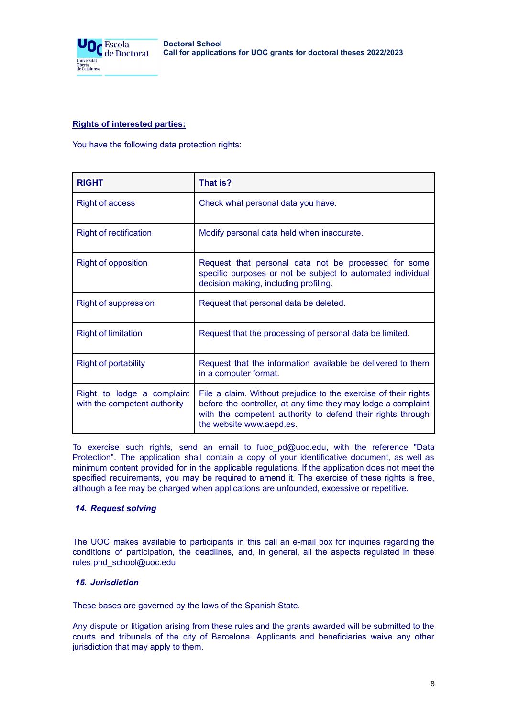

### **Rights of interested parties:**

You have the following data protection rights:

| <b>RIGHT</b>                                               | That is?                                                                                                                                                                                                                    |
|------------------------------------------------------------|-----------------------------------------------------------------------------------------------------------------------------------------------------------------------------------------------------------------------------|
| Right of access                                            | Check what personal data you have.                                                                                                                                                                                          |
| <b>Right of rectification</b>                              | Modify personal data held when inaccurate.                                                                                                                                                                                  |
| <b>Right of opposition</b>                                 | Request that personal data not be processed for some<br>specific purposes or not be subject to automated individual<br>decision making, including profiling.                                                                |
| <b>Right of suppression</b>                                | Request that personal data be deleted.                                                                                                                                                                                      |
| <b>Right of limitation</b>                                 | Request that the processing of personal data be limited.                                                                                                                                                                    |
| <b>Right of portability</b>                                | Request that the information available be delivered to them<br>in a computer format.                                                                                                                                        |
| Right to lodge a complaint<br>with the competent authority | File a claim. Without prejudice to the exercise of their rights<br>before the controller, at any time they may lodge a complaint<br>with the competent authority to defend their rights through<br>the website www.aepd.es. |

To exercise such rights, send an email to fuoc  $pd@uoc.edu$ , with the reference "Data Protection". The application shall contain a copy of your identificative document, as well as minimum content provided for in the applicable regulations. If the application does not meet the specified requirements, you may be required to amend it. The exercise of these rights is free, although a fee may be charged when applications are unfounded, excessive or repetitive.

# *14. Request solving*

The UOC makes available to participants in this call an e-mail box for inquiries regarding the conditions of participation, the deadlines, and, in general, all the aspects regulated in these rules phd\_school@uoc.edu

# *15. Jurisdiction*

These bases are governed by the laws of the Spanish State.

Any dispute or litigation arising from these rules and the grants awarded will be submitted to the courts and tribunals of the city of Barcelona. Applicants and beneficiaries waive any other jurisdiction that may apply to them.